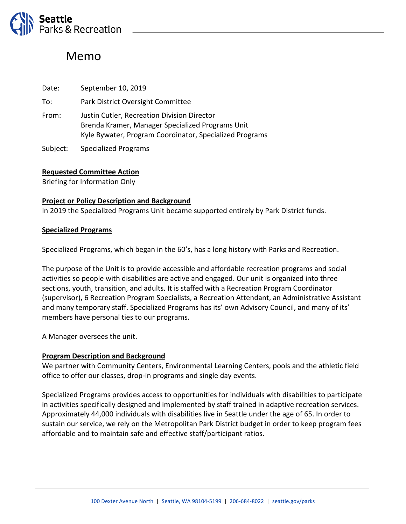

# Memo

| Date: | September 10, 2019                                                                                                                                         |
|-------|------------------------------------------------------------------------------------------------------------------------------------------------------------|
| To:   | Park District Oversight Committee                                                                                                                          |
| From: | Justin Cutler, Recreation Division Director<br>Brenda Kramer, Manager Specialized Programs Unit<br>Kyle Bywater, Program Coordinator, Specialized Programs |
|       |                                                                                                                                                            |

Subject: Specialized Programs

### **Requested Committee Action**

Briefing for Information Only

### **Project or Policy Description and Background**

In 2019 the Specialized Programs Unit became supported entirely by Park District funds.

### **Specialized Programs**

Specialized Programs, which began in the 60's, has a long history with Parks and Recreation.

The purpose of the Unit is to provide accessible and affordable recreation programs and social activities so people with disabilities are active and engaged. Our unit is organized into three sections, youth, transition, and adults. It is staffed with a Recreation Program Coordinator (supervisor), 6 Recreation Program Specialists, a Recreation Attendant, an Administrative Assistant and many temporary staff. Specialized Programs has its' own Advisory Council, and many of its' members have personal ties to our programs.

A Manager oversees the unit.

## **Program Description and Background**

We partner with Community Centers, Environmental Learning Centers, pools and the athletic field office to offer our classes, drop-in programs and single day events.

Specialized Programs provides access to opportunities for individuals with disabilities to participate in activities specifically designed and implemented by staff trained in adaptive recreation services. Approximately 44,000 individuals with disabilities live in Seattle under the age of 65. In order to sustain our service, we rely on the Metropolitan Park District budget in order to keep program fees affordable and to maintain safe and effective staff/participant ratios.